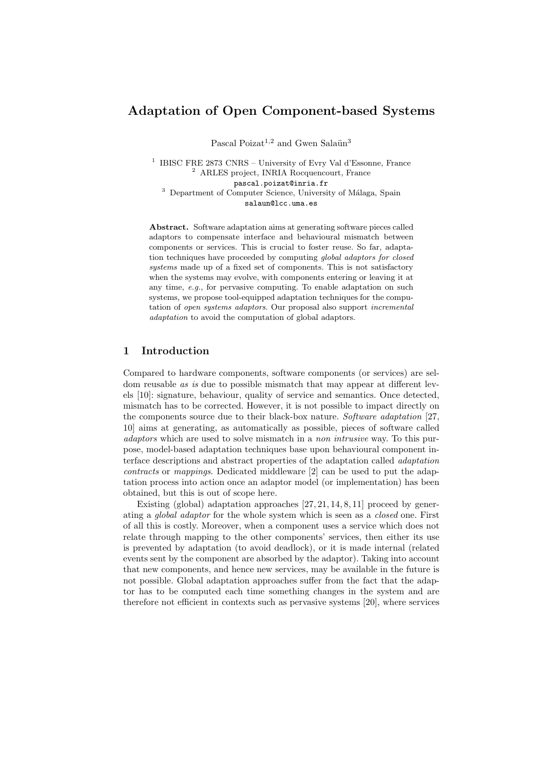# Adaptation of Open Component-based Systems

Pascal Poizat<sup>1,2</sup> and Gwen Sala $\ddot{u}$ <sup>3</sup>

1 IBISC FRE 2873 CNRS – University of Evry Val d'Essonne, France <sup>2</sup> ARLES project, INRIA Rocquencourt, France pascal.poizat@inria.fr <sup>3</sup> Department of Computer Science, University of Málaga, Spain

salaun@lcc.uma.es

Abstract. Software adaptation aims at generating software pieces called adaptors to compensate interface and behavioural mismatch between components or services. This is crucial to foster reuse. So far, adaptation techniques have proceeded by computing global adaptors for closed systems made up of a fixed set of components. This is not satisfactory when the systems may evolve, with components entering or leaving it at any time,  $e, a$ , for pervasive computing. To enable adaptation on such systems, we propose tool-equipped adaptation techniques for the computation of open systems adaptors. Our proposal also support incremental adaptation to avoid the computation of global adaptors.

### 1 Introduction

Compared to hardware components, software components (or services) are seldom reusable *as is* due to possible mismatch that may appear at different levels [10]: signature, behaviour, quality of service and semantics. Once detected, mismatch has to be corrected. However, it is not possible to impact directly on the components source due to their black-box nature. Software adaptation [27, 10] aims at generating, as automatically as possible, pieces of software called adaptors which are used to solve mismatch in a non intrusive way. To this purpose, model-based adaptation techniques base upon behavioural component interface descriptions and abstract properties of the adaptation called adaptation contracts or mappings. Dedicated middleware [2] can be used to put the adaptation process into action once an adaptor model (or implementation) has been obtained, but this is out of scope here.

Existing (global) adaptation approaches [27, 21, 14, 8, 11] proceed by generating a *global adaptor* for the whole system which is seen as a *closed* one. First of all this is costly. Moreover, when a component uses a service which does not relate through mapping to the other components' services, then either its use is prevented by adaptation (to avoid deadlock), or it is made internal (related events sent by the component are absorbed by the adaptor). Taking into account that new components, and hence new services, may be available in the future is not possible. Global adaptation approaches suffer from the fact that the adaptor has to be computed each time something changes in the system and are therefore not efficient in contexts such as pervasive systems [20], where services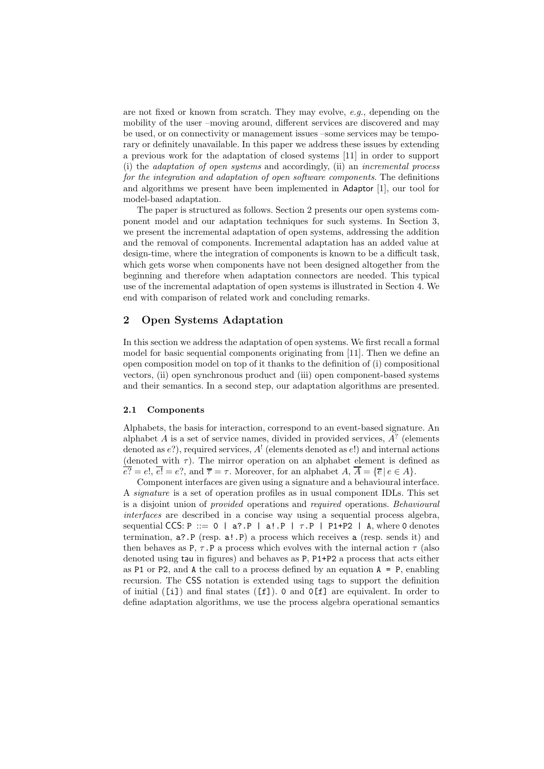are not fixed or known from scratch. They may evolve, e.g., depending on the mobility of the user –moving around, different services are discovered and may be used, or on connectivity or management issues –some services may be temporary or definitely unavailable. In this paper we address these issues by extending a previous work for the adaptation of closed systems [11] in order to support (i) the adaptation of open systems and accordingly, (ii) an incremental process for the integration and adaptation of open software components. The definitions and algorithms we present have been implemented in Adaptor [1], our tool for model-based adaptation.

The paper is structured as follows. Section 2 presents our open systems component model and our adaptation techniques for such systems. In Section 3, we present the incremental adaptation of open systems, addressing the addition and the removal of components. Incremental adaptation has an added value at design-time, where the integration of components is known to be a difficult task, which gets worse when components have not been designed altogether from the beginning and therefore when adaptation connectors are needed. This typical use of the incremental adaptation of open systems is illustrated in Section 4. We end with comparison of related work and concluding remarks.

### 2 Open Systems Adaptation

In this section we address the adaptation of open systems. We first recall a formal model for basic sequential components originating from [11]. Then we define an open composition model on top of it thanks to the definition of (i) compositional vectors, (ii) open synchronous product and (iii) open component-based systems and their semantics. In a second step, our adaptation algorithms are presented.

#### 2.1 Components

Alphabets, the basis for interaction, correspond to an event-based signature. An alphabet A is a set of service names, divided in provided services,  $A^?$  (elements denoted as  $e$ ?), required services,  $A^!$  (elements denoted as  $e$ !) and internal actions (denoted with  $\tau$ ). The mirror operation on an alphabet element is defined as  $\overline{e?} = e!$ ,  $\overline{e!} = e?$ , and  $\overline{\tau} = \tau$ . Moreover, for an alphabet  $A, \overline{A} = {\overline{e} \mid e \in A}$ .

Component interfaces are given using a signature and a behavioural interface. A signature is a set of operation profiles as in usual component IDLs. This set is a disjoint union of provided operations and required operations. Behavioural interfaces are described in a concise way using a sequential process algebra, sequential CCS: P ::= 0 | a?.P | a!.P |  $\tau$ .P | P1+P2 | A, where 0 denotes termination,  $a$ ?. P (resp.  $a$ !. P) a process which receives a (resp. sends it) and then behaves as P,  $\tau$ .P a process which evolves with the internal action  $\tau$  (also denoted using tau in figures) and behaves as P, P1+P2 a process that acts either as P1 or P2, and A the call to a process defined by an equation  $A = P$ , enabling recursion. The CSS notation is extended using tags to support the definition of initial  $([i])$  and final states  $([f])$ . 0 and  $[0]$  are equivalent. In order to define adaptation algorithms, we use the process algebra operational semantics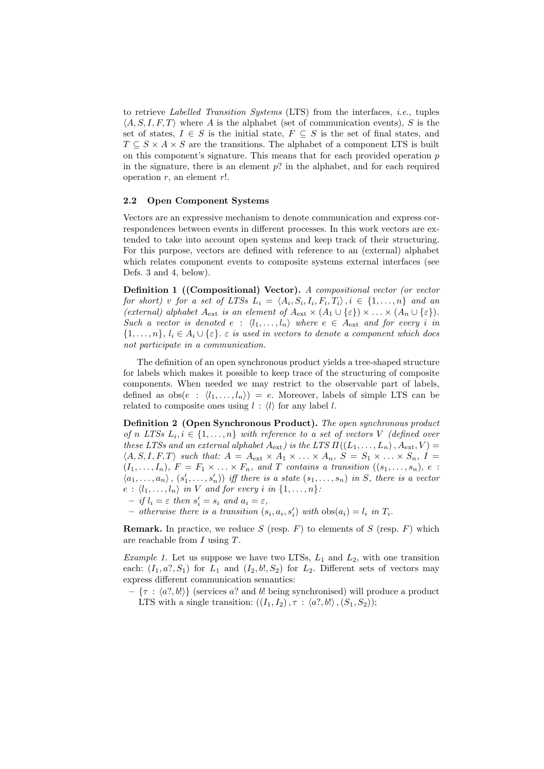to retrieve Labelled Transition Systems (LTS) from the interfaces, i.e., tuples  $\langle A, S, I, F, T \rangle$  where A is the alphabet (set of communication events), S is the set of states,  $I \in S$  is the initial state,  $F \subseteq S$  is the set of final states, and  $T \subseteq S \times A \times S$  are the transitions. The alphabet of a component LTS is built on this component's signature. This means that for each provided operation  $p$ in the signature, there is an element  $p$ ? in the alphabet, and for each required operation  $r$ , an element  $r!$ .

#### 2.2 Open Component Systems

Vectors are an expressive mechanism to denote communication and express correspondences between events in different processes. In this work vectors are extended to take into account open systems and keep track of their structuring. For this purpose, vectors are defined with reference to an (external) alphabet which relates component events to composite systems external interfaces (see Defs. 3 and 4, below).

Definition 1 ((Compositional) Vector). A compositional vector (or vector for short) v for a set of LTSs  $L_i = \langle A_i, S_i, I_i, F_i, T_i \rangle, i \in \{1, \ldots, n\}$  and an (external) alphabet  $A_{ext}$  is an element of  $A_{ext} \times (A_1 \cup \{\epsilon\}) \times ... \times (A_n \cup \{\epsilon\}).$ Such a vector is denoted  $e : \langle l_1, \ldots, l_n \rangle$  where  $e \in A_{\text{ext}}$  and for every i in  $\{1,\ldots,n\}, l_i \in A_i \cup \{\varepsilon\}.$   $\varepsilon$  is used in vectors to denote a component which does not participate in a communication.

The definition of an open synchronous product yields a tree-shaped structure for labels which makes it possible to keep trace of the structuring of composite components. When needed we may restrict to the observable part of labels, defined as  $obs(e : \langle l_1, \ldots, l_n \rangle) = e$ . Moreover, labels of simple LTS can be related to composite ones using  $l : \langle l \rangle$  for any label l.

Definition 2 (Open Synchronous Product). The open synchronous product of n LTSs  $L_i, i \in \{1, \ldots, n\}$  with reference to a set of vectors V (defined over these LTSs and an external alphabet  $A_{\text{ext}}$ ) is the LTS  $\Pi((L_1, \ldots, L_n), A_{\text{ext}}, V) =$  $\langle A, S, I, F, T \rangle$  such that:  $A = A_{ext} \times A_1 \times \ldots \times A_n$ ,  $S = S_1 \times \ldots \times S_n$ ,  $I =$  $(I_1, \ldots, I_n), F = F_1 \times \ldots \times F_n$ , and T contains a transition  $((s_1, \ldots, s_n), e)$ :  $\langle a_1, \ldots, a_n \rangle$ ,  $(s'_1, \ldots, s'_n)$  iff there is a state  $(s_1, \ldots, s_n)$  in S, there is a vector  $e : \langle l_1, \ldots, l_n \rangle$  in V and for every i in  $\{1, \ldots, n\}$ :

- $-$  if  $l_i = \varepsilon$  then  $s'_i = s_i$  and  $a_i = \varepsilon$ ,
- otherwise there is a transition  $(s_i, a_i, s'_i)$  with  $obs(a_i) = l_i$  in  $T_i$ .

**Remark.** In practice, we reduce S (resp.  $F$ ) to elements of S (resp.  $F$ ) which are reachable from  $I$  using  $T$ .

*Example 1.* Let us suppose we have two LTSs,  $L_1$  and  $L_2$ , with one transition each:  $(I_1, a^2, S_1)$  for  $L_1$  and  $(I_2, b^1, S_2)$  for  $L_2$ . Different sets of vectors may express different communication semantics:

 $-\{ \tau : \langle a? \, b! \rangle \}$  (services a? and b! being synchronised) will produce a product LTS with a single transition:  $((I_1, I_2), \tau : \langle a^2, b! \rangle, (S_1, S_2));$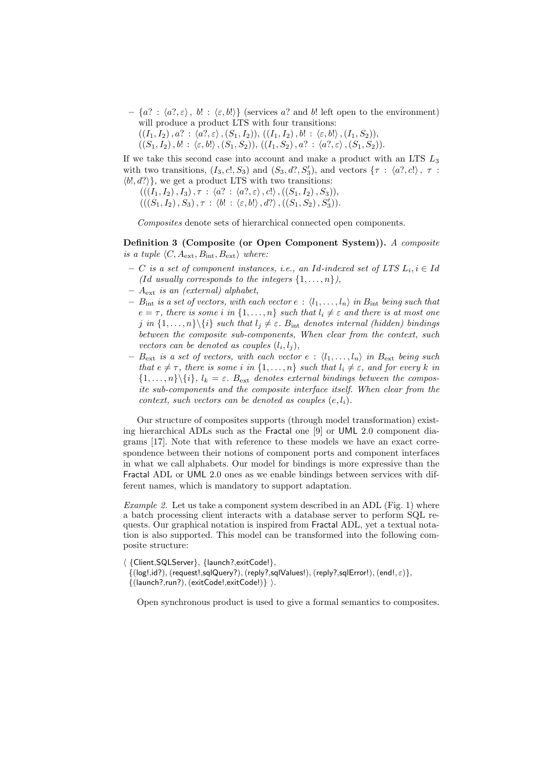- $-\{a? : \langle a? , \varepsilon \rangle, b! : \langle \varepsilon, b! \rangle\}$  (services a? and b! left open to the environment) will produce a product LTS with four transitions:
	- $((I_1, I_2), a? : \langle a?, \varepsilon \rangle, (S_1, I_2)), ((I_1, I_2), b! : \langle \varepsilon, b! \rangle, (I_1, S_2)),$
	- $((S_1, I_2), b! : \langle \varepsilon, b! \rangle, (S_1, S_2)), ((I_1, S_2), a? : \langle a? , \varepsilon \rangle, (S_1, S_2)).$

If we take this second case into account and make a product with an LTS  $L_3$ with two transitions,  $(I_3, c!, S_3)$  and  $(S_3, d?, S'_3)$ , and vectors  $\{\tau : \langle a?, c \rangle, \tau :$  $\langle b, d \rangle$ , we get a product LTS with two transitions:

- $(((I_1,I_2), I_3), \tau : \langle a? : \langle a? , \varepsilon \rangle, c! \rangle, ((S_1,I_2), S_3)),$
- $(((S_1,I_2), S_3), \tau : \langle b! : \langle \varepsilon, b! \rangle, d? \rangle, ((S_1, S_2), S'_3)).$

Composites denote sets of hierarchical connected open components.

Definition 3 (Composite (or Open Component System)). A composite is a tuple  $\langle C, A_{\text{ext}}, B_{\text{int}}, B_{\text{ext}} \rangle$  where:

- $-$  C is a set of component instances, i.e., an Id-indexed set of LTS  $L_i, i \in Id$ (Id usually corresponds to the integers  $\{1,\ldots,n\}$ ),
- $A_{\text{ext}}$  is an (external) alphabet,
- $B_{int}$  is a set of vectors, with each vector  $e : \langle l_1, \ldots, l_n \rangle$  in  $B_{int}$  being such that  $e = \tau$ , there is some i in  $\{1, \ldots, n\}$  such that  $l_i \neq \varepsilon$  and there is at most one j in  $\{1,\ldots,n\}\backslash\{i\}$  such that  $l_j \neq \varepsilon$ . B<sub>int</sub> denotes internal (hidden) bindings between the composite sub-components, When clear from the context, such vectors can be denoted as couples  $(l_i, l_j)$ ,
- $B_{ext}$  is a set of vectors, with each vector  $e : \langle l_1, \ldots, l_n \rangle$  in  $B_{ext}$  being such that  $e \neq \tau$ , there is some i in  $\{1, \ldots, n\}$  such that  $l_i \neq \varepsilon$ , and for every k in  $\{1,\ldots,n\}\backslash\{i\}, l_k = \varepsilon$ . B<sub>ext</sub> denotes external bindings between the composite sub-components and the composite interface itself. When clear from the context, such vectors can be denoted as couples  $(e, l_i)$ .

Our structure of composites supports (through model transformation) existing hierarchical ADLs such as the Fractal one [9] or UML 2.0 component diagrams [17]. Note that with reference to these models we have an exact correspondence between their notions of component ports and component interfaces in what we call alphabets. Our model for bindings is more expressive than the Fractal ADL or UML 2.0 ones as we enable bindings between services with different names, which is mandatory to support adaptation.

*Example 2.* Let us take a component system described in an ADL (Fig. 1) where a batch processing client interacts with a database server to perform SQL requests. Our graphical notation is inspired from Fractal ADL, yet a textual notation is also supported. This model can be transformed into the following composite structure:

- h {Client,SQLServer}, {launch?,exitCode!},
- $\{(\text{log}!, \text{id}?), (\text{request}, \text{sqlQuery}?), (\text{reply?, \text{sqlValues}!), (\text{reply?, \text{sqlError}!), (\text{end!,} \varepsilon)\},$  $\{$ (launch?,run?), (exitCode!,exitCode!)}  $\}$ .

Open synchronous product is used to give a formal semantics to composites.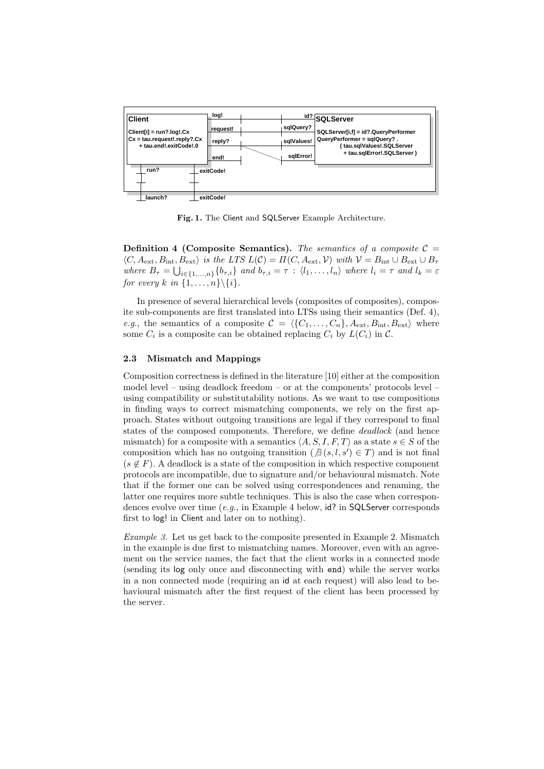

Fig. 1. The Client and SQLServer Example Architecture.

**Definition 4 (Composite Semantics).** The semantics of a composite  $C =$  $\langle C, A_{\text{ext}}, B_{\text{int}}, B_{\text{ext}} \rangle$  is the LTS  $L(C) = \Pi(C, A_{\text{ext}}, V)$  with  $V = B_{\text{int}} \cup B_{\text{ext}} \cup B_{\tau}$ where  $B_{\tau} = \bigcup_{i \in \{1,...,n\}} \{b_{\tau,i}\}\$  and  $b_{\tau,i} = \tau \,:\, \langle l_1, \ldots, l_n \rangle\$  where  $l_i = \tau$  and  $l_k = \varepsilon$ for every k in  $\{1, \ldots, n\} \backslash \{i\}.$ 

In presence of several hierarchical levels (composites of composites), composite sub-components are first translated into LTSs using their semantics (Def. 4), e.g., the semantics of a composite  $C = \langle \{C_1, \ldots, C_n\}, A_{\text{ext}}, B_{\text{int}}, B_{\text{ext}} \rangle$  where some  $C_i$  is a composite can be obtained replacing  $C_i$  by  $L(C_i)$  in  $\mathcal{C}$ .

#### 2.3 Mismatch and Mappings

Composition correctness is defined in the literature [10] either at the composition model level – using deadlock freedom – or at the components' protocols level – using compatibility or substitutability notions. As we want to use compositions in finding ways to correct mismatching components, we rely on the first approach. States without outgoing transitions are legal if they correspond to final states of the composed components. Therefore, we define *deadlock* (and hence mismatch) for a composite with a semantics  $\langle A, S, I, F, T \rangle$  as a state  $s \in S$  of the composition which has no outgoing transition  $(\mathcal{A}(s, l, s') \in T)$  and is not final  $(s \notin F)$ . A deadlock is a state of the composition in which respective component protocols are incompatible, due to signature and/or behavioural mismatch. Note that if the former one can be solved using correspondences and renaming, the latter one requires more subtle techniques. This is also the case when correspondences evolve over time (e.g., in Example 4 below, id? in SQLServer corresponds first to log! in Client and later on to nothing).

Example 3. Let us get back to the composite presented in Example 2. Mismatch in the example is due first to mismatching names. Moreover, even with an agreement on the service names, the fact that the client works in a connected mode (sending its log only once and disconnecting with end) while the server works in a non connected mode (requiring an id at each request) will also lead to behavioural mismatch after the first request of the client has been processed by the server.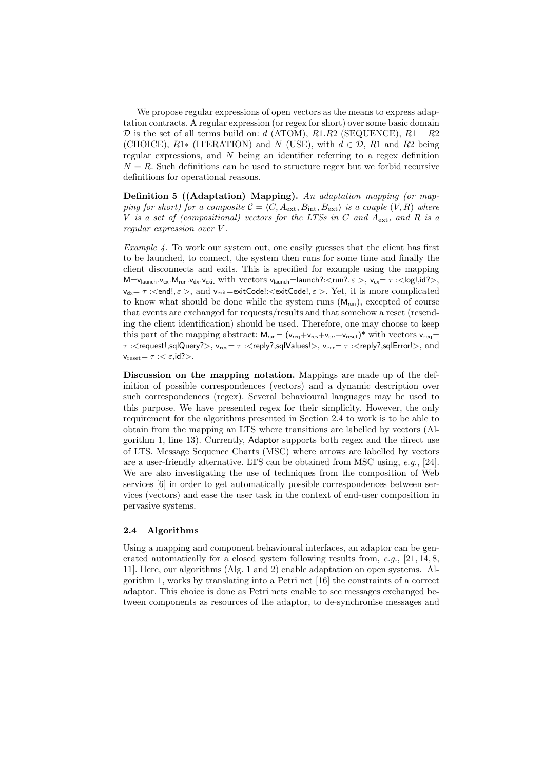We propose regular expressions of open vectors as the means to express adaptation contracts. A regular expression (or regex for short) over some basic domain  $D$  is the set of all terms build on: d (ATOM), R1.R2 (SEQUENCE),  $R1 + R2$ (CHOICE),  $R1*$  (ITERATION) and N (USE), with  $d \in \mathcal{D}$ ,  $R1$  and  $R2$  being regular expressions, and N being an identifier referring to a regex definition  $N = R$ . Such definitions can be used to structure regex but we forbid recursive definitions for operational reasons.

Definition 5 ((Adaptation) Mapping). An adaptation mapping (or mapping for short) for a composite  $C = \langle C, A_{\text{ext}}, B_{\text{int}}, B_{\text{ext}} \rangle$  is a couple  $(V, R)$  where V is a set of (compositional) vectors for the LTSs in C and  $A_{\text{ext}}$ , and R is a regular expression over V .

Example 4. To work our system out, one easily guesses that the client has first to be launched, to connect, the system then runs for some time and finally the client disconnects and exits. This is specified for example using the mapping  $M=v_{\text{launch}}.v_{\text{cx}}.M_{\text{run}}.v_{\text{dx}}.v_{\text{exit}}$  with vectors  $v_{\text{launch}} = \text{launch?}:\langle \text{run?}, \varepsilon >, v_{\text{cx}} = \tau : <\text{log1}, \text{id?}>$ ,  $v_{dx} = \tau$ : <end!,  $\varepsilon >$ , and  $v_{exit} =$ exitCode!: <exitCode!,  $\varepsilon >$ . Yet, it is more complicated to know what should be done while the system runs  $(M_{run})$ , excepted of course that events are exchanged for requests/results and that somehow a reset (resending the client identification) should be used. Therefore, one may choose to keep this part of the mapping abstract:  $M_{run} = (v_{req} + v_{res} + v_{err} + v_{reset})^*$  with vectors  $v_{req} =$  $\tau$ :  $\langle$  request!.sqlQuery? $>$ ,  $v_{res} = \tau$ : $\langle$  reply?.sqlValues! $>$ ,  $v_{err} = \tau$ : $\langle$  reply?.sqlError! $>$ , and  $v_{\text{reset}} = \tau : < \varepsilon, \text{id}$ ?>.

Discussion on the mapping notation. Mappings are made up of the definition of possible correspondences (vectors) and a dynamic description over such correspondences (regex). Several behavioural languages may be used to this purpose. We have presented regex for their simplicity. However, the only requirement for the algorithms presented in Section 2.4 to work is to be able to obtain from the mapping an LTS where transitions are labelled by vectors (Algorithm 1, line 13). Currently, Adaptor supports both regex and the direct use of LTS. Message Sequence Charts (MSC) where arrows are labelled by vectors are a user-friendly alternative. LTS can be obtained from MSC using, e.g., [24]. We are also investigating the use of techniques from the composition of Web services [6] in order to get automatically possible correspondences between services (vectors) and ease the user task in the context of end-user composition in pervasive systems.

### 2.4 Algorithms

Using a mapping and component behavioural interfaces, an adaptor can be generated automatically for a closed system following results from, e.g., [21, 14, 8,] 11]. Here, our algorithms (Alg. 1 and 2) enable adaptation on open systems. Algorithm 1, works by translating into a Petri net [16] the constraints of a correct adaptor. This choice is done as Petri nets enable to see messages exchanged between components as resources of the adaptor, to de-synchronise messages and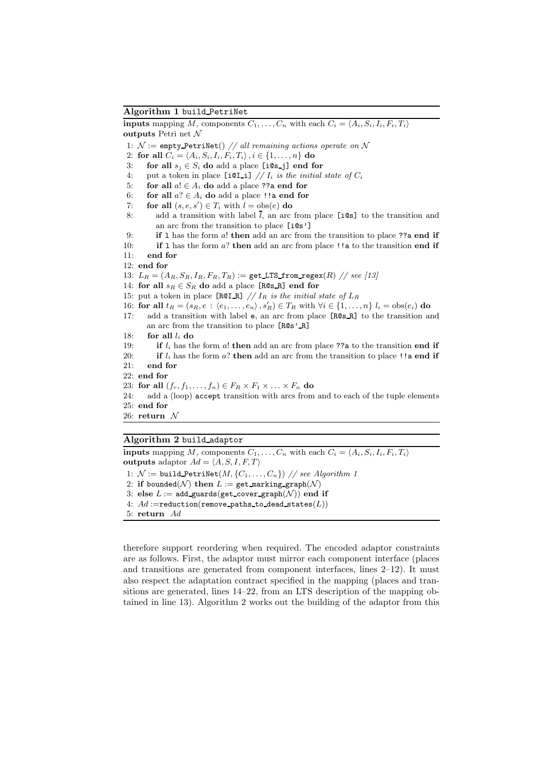Algorithm 1 build PetriNet

**inputs** mapping M, components  $C_1, \ldots, C_n$  with each  $C_i = \langle A_i, S_i, I_i, F_i, T_i \rangle$ outputs Petri net  $N$ 1:  $\mathcal{N} :=$  empty\_PetriNet() // all remaining actions operate on  $\mathcal{N}$ 2: for all  $C_i = \langle A_i, S_i, I_i, F_i, T_i \rangle, i \in \{1, \ldots, n\}$  do 3: for all  $s_i \in S_i$  do add a place [i $\text{Cs}_i$ ] end for 4: put a token in place [i $\mathbb{C}[i] \mathcal{I}$ ] //  $I_i$  is the initial state of  $C_i$ 5: for all  $a! \in A_i$  do add a place ??a end for 6: for all  $a? \in A_i$  do add a place !! a end for 7: for all  $(s, e, s') \in T_i$  with  $l = \text{obs}(e)$  do 8: add a transition with label  $\bar{l}$ , an arc from place [iCs] to the transition and an arc from the transition to place [i@s'] 9: if 1 has the form  $a!$  then add an arc from the transition to place ??a end if 10: if l has the form a? then add an arc from place !!a to the transition end if 11: end for 12: end for 13:  $L_R = (A_R, S_R, I_R, F_R, T_R) :=$  get LTS from regex(R) // see [13] 14: for all  $s_R \in S_R$  do add a place [RQs R] end for 15: put a token in place [ROI\_R]  $// I_R$  is the initial state of  $L_R$ 16: for all  $t_R = (s_R, e : \langle e_1, \ldots, e_n \rangle, s'_R) \in T_R$  with  $\forall i \in \{1, \ldots, n\}$   $l_i = \text{obs}(e_i)$  do 17: add a transition with label e, an arc from place [R@s R] to the transition and an arc from the transition to place [R@s' R] 18: for all  $l_i$  do 19: if  $l_i$  has the form a! then add an arc from place ?? a to the transition end if 20: if  $l_i$  has the form a? then add an arc from the transition to place !! a end if 21: end for 22: end for 23: for all  $(f_r, f_1, \ldots, f_n) \in F_R \times F_1 \times \ldots \times F_n$  do 24: add a (loop) accept transition with arcs from and to each of the tuple elements 25: end for 26: return  $\mathcal N$ 

### Algorithm 2 build adaptor

**inputs** mapping M, components  $C_1, \ldots, C_n$  with each  $C_i = \langle A_i, S_i, I_i, F_i, T_i \rangle$ outputs adaptor  $Ad = \langle A, S, I, F, T \rangle$ 1:  $\mathcal{N} := \text{build\_PetriNet}(M, \{C_1, \ldots, C_n\})$  // see Algorithm 1 2: if bounded( $\mathcal{N}$ ) then  $L :=$  get\_marking\_graph( $\mathcal{N}$ )

- 3: else  $L := \text{add\_gwards}(\text{get\_cover\_graph}(\mathcal{N}))$  end if
- 4:  $Ad :=$ reduction(remove\_paths\_to\_dead\_states( $L$ ))

```
5: return Ad
```
therefore support reordering when required. The encoded adaptor constraints are as follows. First, the adaptor must mirror each component interface (places and transitions are generated from component interfaces, lines 2–12). It must also respect the adaptation contract specified in the mapping (places and transitions are generated, lines 14–22, from an LTS description of the mapping obtained in line 13). Algorithm 2 works out the building of the adaptor from this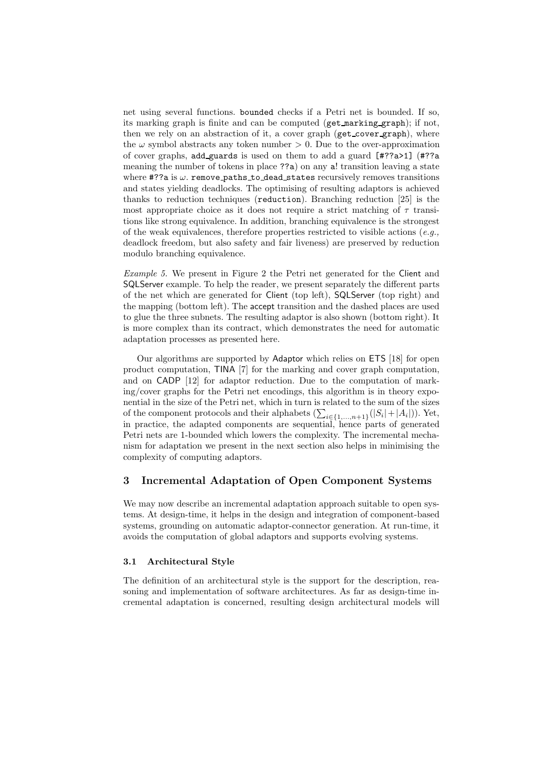net using several functions. bounded checks if a Petri net is bounded. If so, its marking graph is finite and can be computed (get marking graph); if not, then we rely on an abstraction of it, a cover graph (get\_cover\_graph), where the  $\omega$  symbol abstracts any token number  $> 0$ . Due to the over-approximation of cover graphs, add guards is used on them to add a guard [#??a>1] (#??a meaning the number of tokens in place ??a) on any a! transition leaving a state where  $\#$ ??a is  $\omega$ . remove\_paths\_to\_dead\_states recursively removes transitions and states yielding deadlocks. The optimising of resulting adaptors is achieved thanks to reduction techniques (reduction). Branching reduction [25] is the most appropriate choice as it does not require a strict matching of  $\tau$  transitions like strong equivalence. In addition, branching equivalence is the strongest of the weak equivalences, therefore properties restricted to visible actions  $(e.g.,)$ deadlock freedom, but also safety and fair liveness) are preserved by reduction modulo branching equivalence.

Example 5. We present in Figure 2 the Petri net generated for the Client and SQLServer example. To help the reader, we present separately the different parts of the net which are generated for Client (top left), SQLServer (top right) and the mapping (bottom left). The accept transition and the dashed places are used to glue the three subnets. The resulting adaptor is also shown (bottom right). It is more complex than its contract, which demonstrates the need for automatic adaptation processes as presented here.

Our algorithms are supported by Adaptor which relies on ETS [18] for open product computation, TINA [7] for the marking and cover graph computation, and on CADP [12] for adaptor reduction. Due to the computation of marking/cover graphs for the Petri net encodings, this algorithm is in theory exponential in the size of the Petri net, which in turn is related to the sum of the sizes of the component protocols and their alphabets  $(\sum_{i \in \{1,\ldots,n+1\}}(|S_i|+|A_i|))$ . Yet, in practice, the adapted components are sequential, hence parts of generated Petri nets are 1-bounded which lowers the complexity. The incremental mechanism for adaptation we present in the next section also helps in minimising the complexity of computing adaptors.

### 3 Incremental Adaptation of Open Component Systems

We may now describe an incremental adaptation approach suitable to open systems. At design-time, it helps in the design and integration of component-based systems, grounding on automatic adaptor-connector generation. At run-time, it avoids the computation of global adaptors and supports evolving systems.

#### 3.1 Architectural Style

The definition of an architectural style is the support for the description, reasoning and implementation of software architectures. As far as design-time incremental adaptation is concerned, resulting design architectural models will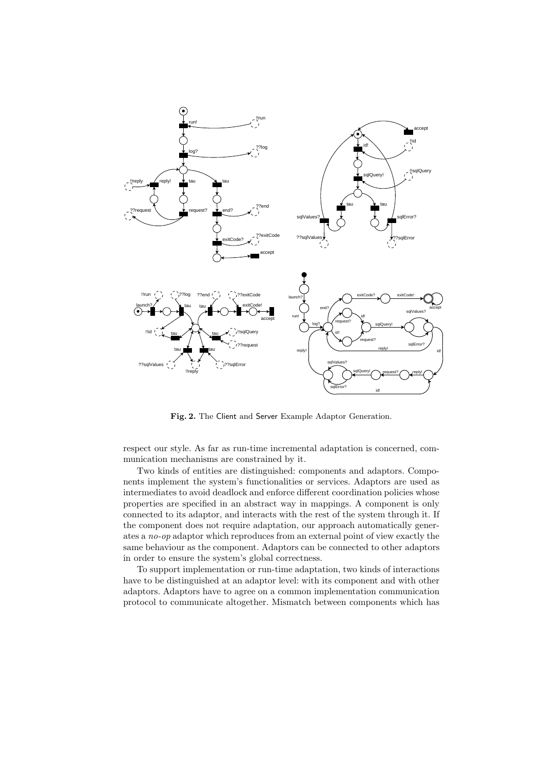

Fig. 2. The Client and Server Example Adaptor Generation.

respect our style. As far as run-time incremental adaptation is concerned, communication mechanisms are constrained by it.

Two kinds of entities are distinguished: components and adaptors. Components implement the system's functionalities or services. Adaptors are used as intermediates to avoid deadlock and enforce different coordination policies whose properties are specified in an abstract way in mappings. A component is only connected to its adaptor, and interacts with the rest of the system through it. If the component does not require adaptation, our approach automatically generates a no-op adaptor which reproduces from an external point of view exactly the same behaviour as the component. Adaptors can be connected to other adaptors in order to ensure the system's global correctness.

To support implementation or run-time adaptation, two kinds of interactions have to be distinguished at an adaptor level: with its component and with other adaptors. Adaptors have to agree on a common implementation communication protocol to communicate altogether. Mismatch between components which has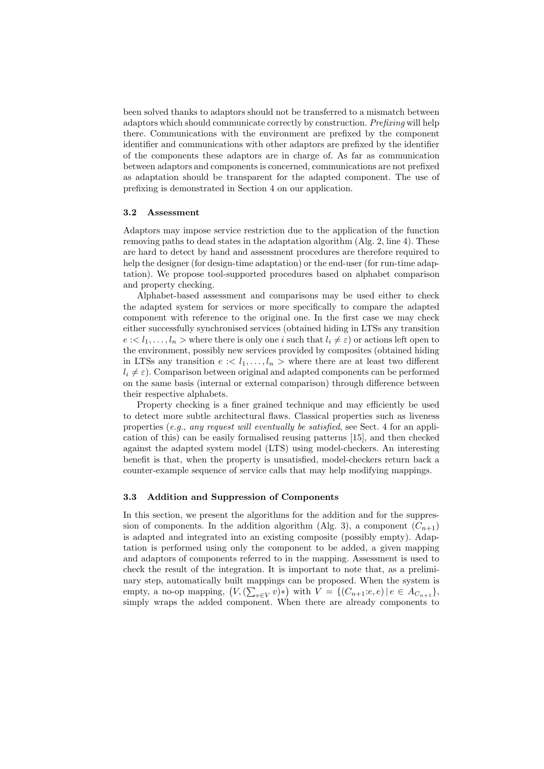been solved thanks to adaptors should not be transferred to a mismatch between adaptors which should communicate correctly by construction. Prefixing will help there. Communications with the environment are prefixed by the component identifier and communications with other adaptors are prefixed by the identifier of the components these adaptors are in charge of. As far as communication between adaptors and components is concerned, communications are not prefixed as adaptation should be transparent for the adapted component. The use of prefixing is demonstrated in Section 4 on our application.

#### 3.2 Assessment

Adaptors may impose service restriction due to the application of the function removing paths to dead states in the adaptation algorithm (Alg. 2, line 4). These are hard to detect by hand and assessment procedures are therefore required to help the designer (for design-time adaptation) or the end-user (for run-time adaptation). We propose tool-supported procedures based on alphabet comparison and property checking.

Alphabet-based assessment and comparisons may be used either to check the adapted system for services or more specifically to compare the adapted component with reference to the original one. In the first case we may check either successfully synchronised services (obtained hiding in LTSs any transition  $e:\langle l_1,\ldots,l_n\rangle$  where there is only one i such that  $l_i\neq \varepsilon$  or actions left open to the environment, possibly new services provided by composites (obtained hiding in LTSs any transition  $e : < l_1, \ldots, l_n$  > where there are at least two different  $l_i \neq \varepsilon$ ). Comparison between original and adapted components can be performed on the same basis (internal or external comparison) through difference between their respective alphabets.

Property checking is a finer grained technique and may efficiently be used to detect more subtle architectural flaws. Classical properties such as liveness properties  $(e.g., any request will eventually be satisfied, see Sect. 4 for an appli$ cation of this) can be easily formalised reusing patterns [15], and then checked against the adapted system model (LTS) using model-checkers. An interesting benefit is that, when the property is unsatisfied, model-checkers return back a counter-example sequence of service calls that may help modifying mappings.

#### 3.3 Addition and Suppression of Components

In this section, we present the algorithms for the addition and for the suppression of components. In the addition algorithm (Alg. 3), a component  $(C_{n+1})$ is adapted and integrated into an existing composite (possibly empty). Adaptation is performed using only the component to be added, a given mapping and adaptors of components referred to in the mapping. Assessment is used to check the result of the integration. It is important to note that, as a preliminary step, automatically built mappings can be proposed. When the system is empty, a no-op mapping,  $(V, (\sum_{v \in V} v)*)$  with  $V = \{(C_{n+1}:e,e) | e \in A_{C_{n+1}}\},\$ simply wraps the added component. When there are already components to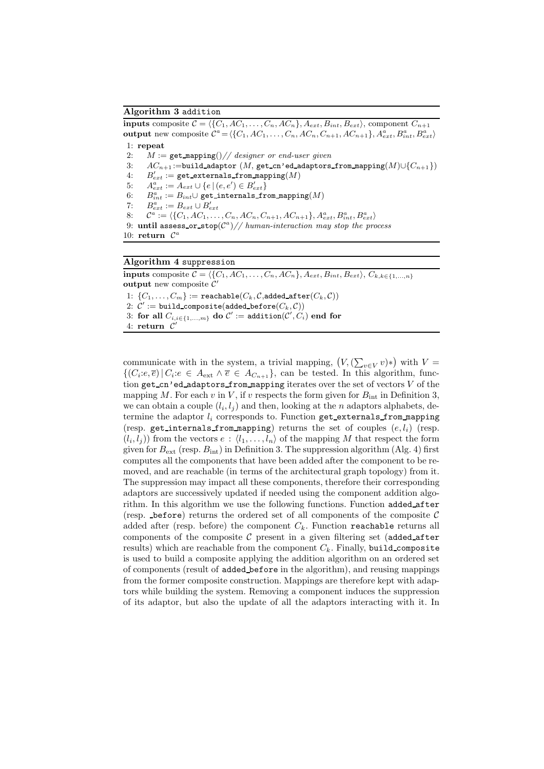#### Algorithm 3 addition

inputs composite  $C = \{ \{C_1, AC_1, \ldots, C_n, AC_n \}, A_{ext}, B_{int}, B_{ext} \}$ , component  $C_{n+1}$ output new composite  $\mathcal{C}^a = \langle \{C_1, AC_1, \ldots, C_n, AC_n, C_{n+1}, AC_{n+1}\}, A_{ext}^a, B_{int}^a, B_{ext}^a \rangle$ 1: repeat 2:  $M := \text{get\_mapping}() // designer or end-user given$ 3:  $AC_{n+1}$ :=build\_adaptor (M, get\_cn'ed\_adaptors\_from\_mapping(M)∪{ $C_{n+1}$ })  $4: \quad B'_{ext} := \mathtt{get\_externals\_from\_mapping}(M)$ 5:  $A_{ext}^a := A_{ext} \cup \{e \mid (e, e') \in B'_{ext}\}\$ 6:  $B_{int}^{a} := B_{int} \cup \text{get}$  internals\_from\_mapping(M) 7:  $B_{ext}^a := B_{ext} \cup B_{ext}'$ 8:  $\mathcal{C}^a := \langle \{C_1, AC_1, \ldots, C_n, AC_n, C_{n+1}, AC_{n+1}\}, A_{ext}^a, B_{int}^a, B_{ext}^a \rangle$ 9: until assess\_or\_stop $(\mathcal{C}^a)/\!/$  human-interaction may stop the process 10: return  $\mathcal{C}^a$ 

## Algorithm 4 suppression

**inputs** composite  $C = \langle \{C_1, AC_1, \ldots, C_n, AC_n\}, A_{ext}, B_{int}, B_{ext} \rangle, C_{k,k \in \{1, \ldots, n\}}\rangle$ output new composite  $\mathcal{C}'$ 1:  $\{C_1, \ldots, C_m\}$  := reachable( $C_k$ ,  $\mathcal{C}$ , added after( $C_k$ ,  $\mathcal{C}$ ))  $2: \; \mathcal{C}' := \texttt{build\_composite}(\texttt{added\_before}(C_k, \mathcal{C}))$ 3: for all  $C_{i,i\in\{1,...,m\}}$  do  $\mathcal{C}' :=$  addition $(\mathcal{C}', C_i)$  end for 4: return  $\mathcal{C}'$ 

communicate with in the system, a trivial mapping,  $(V, (\sum_{v \in V} v)*)$  with  $V =$  $\{(C_i:e,\overline{e})\,|\,C_i:e \in A_{\text{ext}} \land \overline{e} \in A_{C_{n+1}}\}$ , can be tested. In this algorithm, function get\_cn'ed\_adaptors\_from\_mapping iterates over the set of vectors  $V$  of the mapping M. For each v in V, if v respects the form given for  $B_{\text{int}}$  in Definition 3, we can obtain a couple  $(l_i, l_j)$  and then, looking at the n adaptors alphabets, determine the adaptor  $l_i$  corresponds to. Function get externals from mapping (resp. get internals from mapping) returns the set of couples  $(e, l_i)$  (resp.  $(l_i, l_j)$  from the vectors  $e : (l_1, \ldots, l_n)$  of the mapping M that respect the form given for  $B_{\text{ext}}$  (resp.  $B_{\text{int}}$ ) in Definition 3. The suppression algorithm (Alg. 4) first computes all the components that have been added after the component to be removed, and are reachable (in terms of the architectural graph topology) from it. The suppression may impact all these components, therefore their corresponding adaptors are successively updated if needed using the component addition algorithm. In this algorithm we use the following functions. Function added after (resp.  $\Delta$ before) returns the ordered set of all components of the composite C added after (resp. before) the component  $C_k$ . Function reachable returns all components of the composite  $C$  present in a given filtering set (added after results) which are reachable from the component  $C_k$ . Finally, build composite is used to build a composite applying the addition algorithm on an ordered set of components (result of added before in the algorithm), and reusing mappings from the former composite construction. Mappings are therefore kept with adaptors while building the system. Removing a component induces the suppression of its adaptor, but also the update of all the adaptors interacting with it. In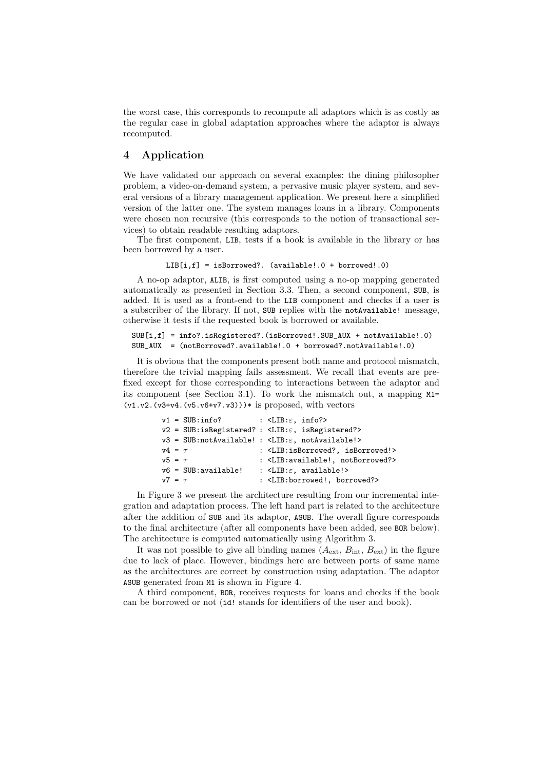the worst case, this corresponds to recompute all adaptors which is as costly as the regular case in global adaptation approaches where the adaptor is always recomputed.

## 4 Application

We have validated our approach on several examples: the dining philosopher problem, a video-on-demand system, a pervasive music player system, and several versions of a library management application. We present here a simplified version of the latter one. The system manages loans in a library. Components were chosen non recursive (this corresponds to the notion of transactional services) to obtain readable resulting adaptors.

The first component, LIB, tests if a book is available in the library or has been borrowed by a user.

LIB[i,f] = isBorrowed?. (available!.0 + borrowed!.0)

A no-op adaptor, ALIB, is first computed using a no-op mapping generated automatically as presented in Section 3.3. Then, a second component, SUB, is added. It is used as a front-end to the LIB component and checks if a user is a subscriber of the library. If not, SUB replies with the notAvailable! message, otherwise it tests if the requested book is borrowed or available.

```
SUB[i, f] = info?.isRegistered?.(isBorrowed!.SUB_AUX + notAvailable!.0)
SUB_AUX = (notBorrowed?.available!.0 + borrowed?.notAvailable!.0)
```
It is obvious that the components present both name and protocol mismatch, therefore the trivial mapping fails assessment. We recall that events are prefixed except for those corresponding to interactions between the adaptor and its component (see Section 3.1). To work the mismatch out, a mapping M1=  $(v1.v2.(v3+v4.(v5.v6+v7.v3)))$ \* is proposed, with vectors

|             | $v1 = SUB:info?$      | : $\langle$ LIB: $\varepsilon$ , info?>                |
|-------------|-----------------------|--------------------------------------------------------|
|             |                       | $v2 = SUB:isRegistered? : , isRegistered?>$            |
|             |                       | $v3 = SUB:notAvailable! : , notAvailable!>$            |
| $v4 = \tau$ |                       | : <lib:isborrowed?, isborrowed!=""></lib:isborrowed?,> |
| $v5 = \tau$ |                       | : <lib:available!, notborrowed?=""></lib:available!,>  |
|             | $v6 = SUB:available!$ | : $\langle$ LIB: $\varepsilon$ , available!>           |
| $v7 = \tau$ |                       | : <lib:borrowed!, borrowed?=""></lib:borrowed!,>       |

In Figure 3 we present the architecture resulting from our incremental integration and adaptation process. The left hand part is related to the architecture after the addition of SUB and its adaptor, ASUB. The overall figure corresponds to the final architecture (after all components have been added, see BOR below). The architecture is computed automatically using Algorithm 3.

It was not possible to give all binding names  $(A_{\text{ext}}, B_{\text{int}}, B_{\text{ext}})$  in the figure due to lack of place. However, bindings here are between ports of same name as the architectures are correct by construction using adaptation. The adaptor ASUB generated from M1 is shown in Figure 4.

A third component, BOR, receives requests for loans and checks if the book can be borrowed or not (id! stands for identifiers of the user and book).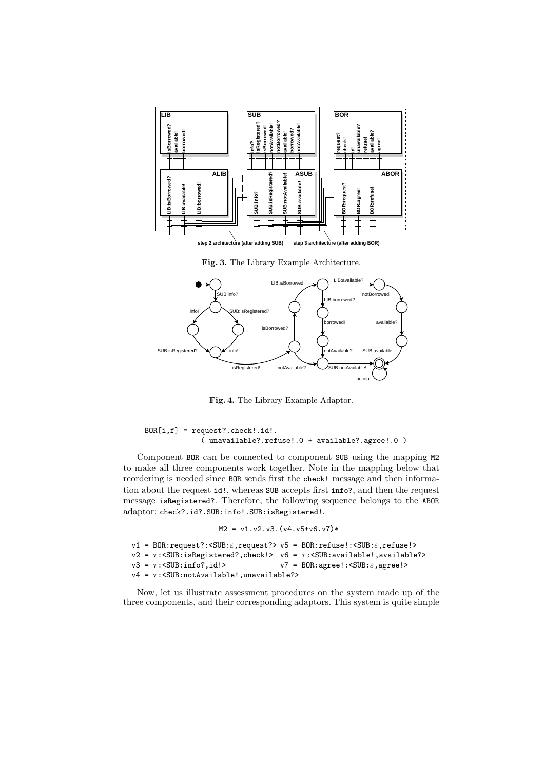

Fig. 3. The Library Example Architecture.



Fig. 4. The Library Example Adaptor.

```
BOR[i, f] = request?. check!.id!.( unavailable?.refuse!.0 + available?.agree!.0 )
```
Component BOR can be connected to component SUB using the mapping M2 to make all three components work together. Note in the mapping below that reordering is needed since BOR sends first the check! message and then information about the request id!, whereas SUB accepts first info?, and then the request message isRegistered?. Therefore, the following sequence belongs to the ABOR adaptor: check?.id?.SUB:info!.SUB:isRegistered!.

```
M2 = v1.v2.v3.(v4.v5+v6.v7)*
```

```
v1 = BOR:request?: <SUB:ε, request?> v5 = BOR:refuse: <SUB:ε, refuse!>v2 = \tau: SUB: isRegistered?, check!> v6 = \tau: SUB: available!, available?><br>v3 = \tau: SUB: info?, id!> v7 = BOR: agree!: SUB: \varepsilon, agree!>
                                                  v7 = BOR:agree! : < SUB:ε, agree! >v4 = \tau:<SUB:notAvailable!,unavailable?>
```
Now, let us illustrate assessment procedures on the system made up of the three components, and their corresponding adaptors. This system is quite simple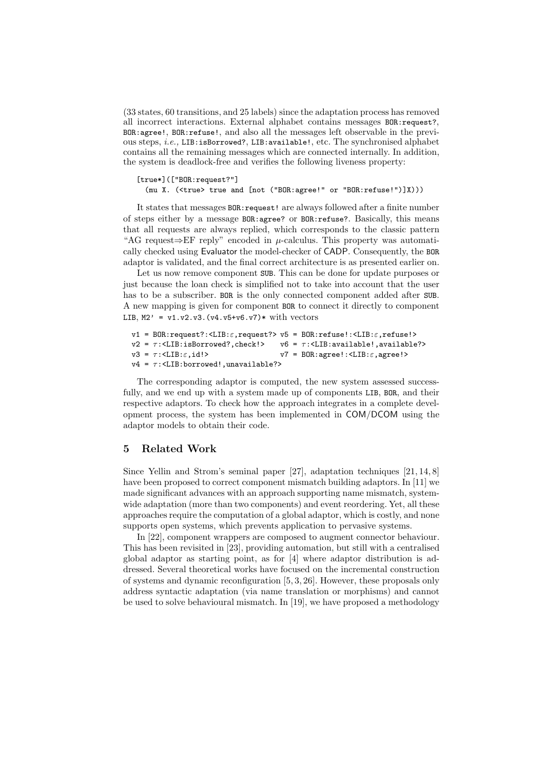(33 states, 60 transitions, and 25 labels) since the adaptation process has removed all incorrect interactions. External alphabet contains messages BOR:request?, BOR:agree!, BOR:refuse!, and also all the messages left observable in the previous steps, i.e., LIB:isBorrowed?, LIB:available!, etc. The synchronised alphabet contains all the remaining messages which are connected internally. In addition, the system is deadlock-free and verifies the following liveness property:

```
[true*](["BOR:request?"]
 (mu X. (<true> true and [not ("BOR:agree!" or "BOR:refuse!")]X)))
```
It states that messages BOR:request! are always followed after a finite number of steps either by a message BOR:agree? or BOR:refuse?. Basically, this means that all requests are always replied, which corresponds to the classic pattern "AG request⇒EF reply" encoded in  $\mu$ -calculus. This property was automatically checked using Evaluator the model-checker of CADP. Consequently, the BOR adaptor is validated, and the final correct architecture is as presented earlier on.

Let us now remove component SUB. This can be done for update purposes or just because the loan check is simplified not to take into account that the user has to be a subscriber. BOR is the only connected component added after SUB. A new mapping is given for component BOR to connect it directly to component LIB,  $M2' = v1.v2.v3.(v4.v5+v6.v7)* with vectors$ 

```
v1 = BOR:request?:\&LIB:\varepsilon,request?> v5 = BOR:refuse::\&LIB:\varepsilon,refuse.>v2 = \tau: <LIB:isBorrowed?, check!> v6 = \tau: <LIB:available!, available?>
v3 = \tau : \langle \text{LIB:} \varepsilon, \text{id} \rangle v7 = \text{BOR:agree} : \langle \text{LIB:} \varepsilon, \text{agree} \ranglev4 = \tau: <LIB: borrowed!, unavailable?>
```
The corresponding adaptor is computed, the new system assessed successfully, and we end up with a system made up of components LIB, BOR, and their respective adaptors. To check how the approach integrates in a complete development process, the system has been implemented in COM/DCOM using the adaptor models to obtain their code.

### 5 Related Work

Since Yellin and Strom's seminal paper [27], adaptation techniques [21, 14, 8] have been proposed to correct component mismatch building adaptors. In [11] we made significant advances with an approach supporting name mismatch, systemwide adaptation (more than two components) and event reordering. Yet, all these approaches require the computation of a global adaptor, which is costly, and none supports open systems, which prevents application to pervasive systems.

In [22], component wrappers are composed to augment connector behaviour. This has been revisited in [23], providing automation, but still with a centralised global adaptor as starting point, as for [4] where adaptor distribution is addressed. Several theoretical works have focused on the incremental construction of systems and dynamic reconfiguration [5, 3, 26]. However, these proposals only address syntactic adaptation (via name translation or morphisms) and cannot be used to solve behavioural mismatch. In [19], we have proposed a methodology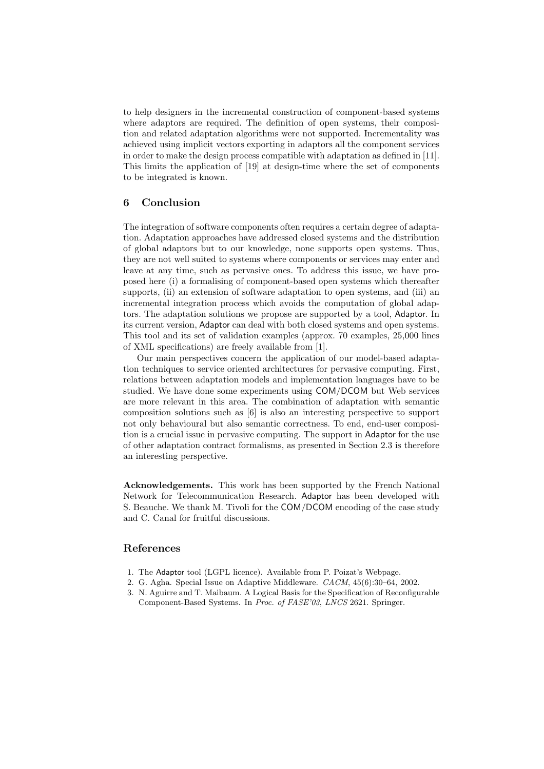to help designers in the incremental construction of component-based systems where adaptors are required. The definition of open systems, their composition and related adaptation algorithms were not supported. Incrementality was achieved using implicit vectors exporting in adaptors all the component services in order to make the design process compatible with adaptation as defined in [11]. This limits the application of [19] at design-time where the set of components to be integrated is known.

### 6 Conclusion

The integration of software components often requires a certain degree of adaptation. Adaptation approaches have addressed closed systems and the distribution of global adaptors but to our knowledge, none supports open systems. Thus, they are not well suited to systems where components or services may enter and leave at any time, such as pervasive ones. To address this issue, we have proposed here (i) a formalising of component-based open systems which thereafter supports, (ii) an extension of software adaptation to open systems, and (iii) an incremental integration process which avoids the computation of global adaptors. The adaptation solutions we propose are supported by a tool, Adaptor. In its current version, Adaptor can deal with both closed systems and open systems. This tool and its set of validation examples (approx. 70 examples, 25,000 lines of XML specifications) are freely available from [1].

Our main perspectives concern the application of our model-based adaptation techniques to service oriented architectures for pervasive computing. First, relations between adaptation models and implementation languages have to be studied. We have done some experiments using COM/DCOM but Web services are more relevant in this area. The combination of adaptation with semantic composition solutions such as [6] is also an interesting perspective to support not only behavioural but also semantic correctness. To end, end-user composition is a crucial issue in pervasive computing. The support in Adaptor for the use of other adaptation contract formalisms, as presented in Section 2.3 is therefore an interesting perspective.

Acknowledgements. This work has been supported by the French National Network for Telecommunication Research. Adaptor has been developed with S. Beauche. We thank M. Tivoli for the COM/DCOM encoding of the case study and C. Canal for fruitful discussions.

### References

- 1. The Adaptor tool (LGPL licence). Available from P. Poizat's Webpage.
- 2. G. Agha. Special Issue on Adaptive Middleware. CACM, 45(6):30–64, 2002.
- 3. N. Aguirre and T. Maibaum. A Logical Basis for the Specification of Reconfigurable Component-Based Systems. In Proc. of FASE'03, LNCS 2621. Springer.